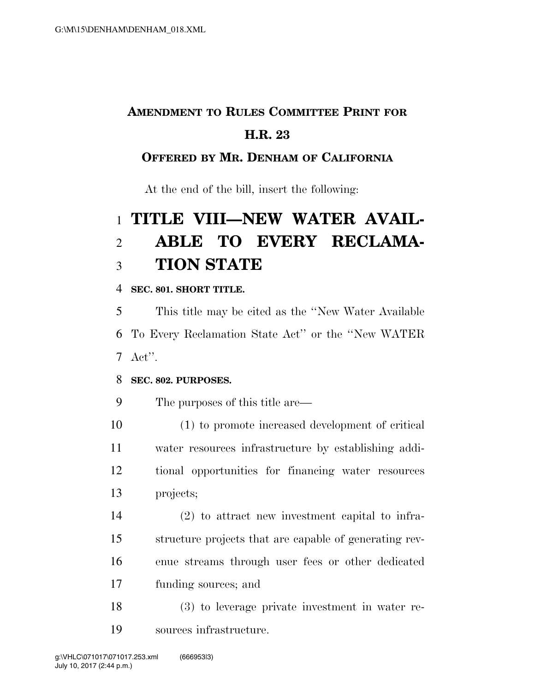# **AMENDMENT TO RULES COMMITTEE PRINT FOR H.R. 23**

## **OFFERED BY MR. DENHAM OF CALIFORNIA**

At the end of the bill, insert the following:

# **TITLE VIII—NEW WATER AVAIL- ABLE TO EVERY RECLAMA-TION STATE**

### **SEC. 801. SHORT TITLE.**

 This title may be cited as the ''New Water Available To Every Reclamation State Act'' or the ''New WATER Act''.

## **SEC. 802. PURPOSES.**

The purposes of this title are—

 (1) to promote increased development of critical water resources infrastructure by establishing addi- tional opportunities for financing water resources projects;

 (2) to attract new investment capital to infra- structure projects that are capable of generating rev- enue streams through user fees or other dedicated funding sources; and

 (3) to leverage private investment in water re-sources infrastructure.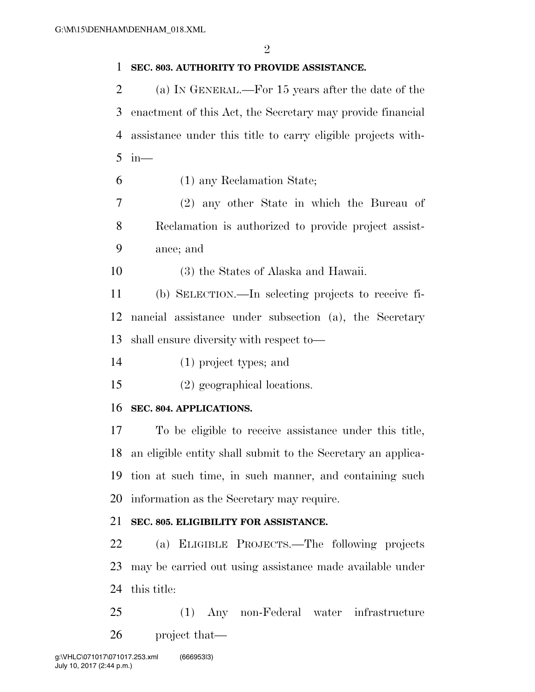#### **SEC. 803. AUTHORITY TO PROVIDE ASSISTANCE.**

 (a) IN GENERAL.—For 15 years after the date of the enactment of this Act, the Secretary may provide financial assistance under this title to carry eligible projects with-in—

(1) any Reclamation State;

 (2) any other State in which the Bureau of Reclamation is authorized to provide project assist-ance; and

(3) the States of Alaska and Hawaii.

 (b) SELECTION.—In selecting projects to receive fi- nancial assistance under subsection (a), the Secretary shall ensure diversity with respect to—

(1) project types; and

(2) geographical locations.

#### **SEC. 804. APPLICATIONS.**

 To be eligible to receive assistance under this title, an eligible entity shall submit to the Secretary an applica- tion at such time, in such manner, and containing such information as the Secretary may require.

#### **SEC. 805. ELIGIBILITY FOR ASSISTANCE.**

 (a) ELIGIBLE PROJECTS.—The following projects may be carried out using assistance made available under this title:

 (1) Any non-Federal water infrastructure project that—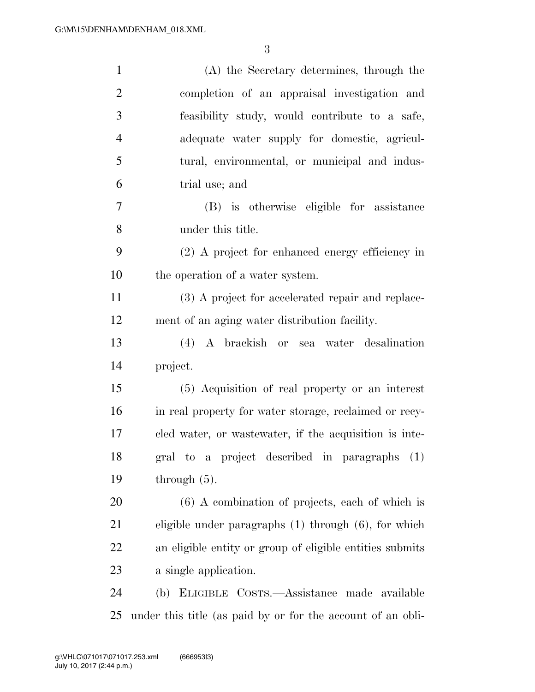| $\mathbf{1}$   | (A) the Secretary determines, through the                   |
|----------------|-------------------------------------------------------------|
| $\overline{2}$ | completion of an appraisal investigation and                |
| 3              | feasibility study, would contribute to a safe,              |
| $\overline{4}$ | adequate water supply for domestic, agricul-                |
| 5              | tural, environmental, or municipal and indus-               |
| 6              | trial use; and                                              |
| 7              | (B) is otherwise eligible for assistance                    |
| 8              | under this title.                                           |
| 9              | (2) A project for enhanced energy efficiency in             |
| 10             | the operation of a water system.                            |
| 11             | (3) A project for accelerated repair and replace-           |
| 12             | ment of an aging water distribution facility.               |
| 13             | (4) A brackish or sea water desalination                    |
| 14             | project.                                                    |
| 15             | (5) Acquisition of real property or an interest             |
| 16             | in real property for water storage, reclaimed or recy-      |
| 17             | cled water, or was tewater, if the acquisition is inte-     |
| 18             | gral to a project described in paragraphs (1)               |
| 19             | through $(5)$ .                                             |
| 20             | $(6)$ A combination of projects, each of which is           |
| 21             | eligible under paragraphs $(1)$ through $(6)$ , for which   |
| 22             | an eligible entity or group of eligible entities submits    |
| 23             | a single application.                                       |
| 24             | (b) ELIGIBLE COSTS.—Assistance made available               |
| 25             | under this title (as paid by or for the account of an obli- |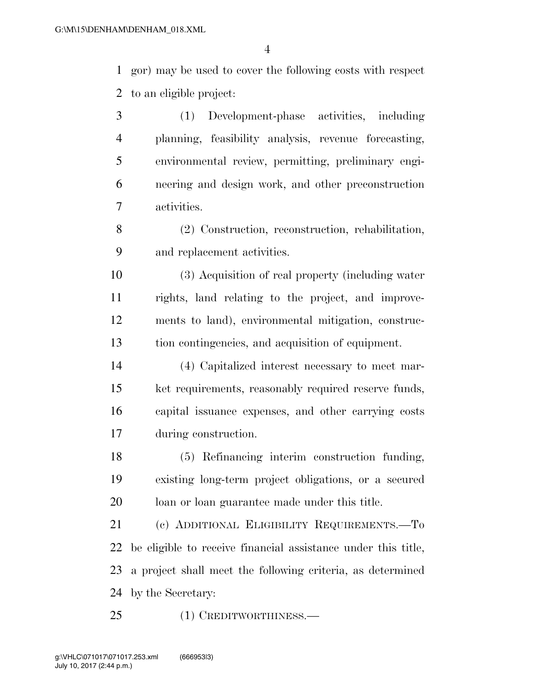gor) may be used to cover the following costs with respect to an eligible project:

 (1) Development-phase activities, including planning, feasibility analysis, revenue forecasting, environmental review, permitting, preliminary engi- neering and design work, and other preconstruction activities.

 (2) Construction, reconstruction, rehabilitation, and replacement activities.

 (3) Acquisition of real property (including water rights, land relating to the project, and improve- ments to land), environmental mitigation, construc-tion contingencies, and acquisition of equipment.

 (4) Capitalized interest necessary to meet mar- ket requirements, reasonably required reserve funds, capital issuance expenses, and other carrying costs during construction.

 (5) Refinancing interim construction funding, existing long-term project obligations, or a secured loan or loan guarantee made under this title.

 (c) ADDITIONAL ELIGIBILITY REQUIREMENTS.—To be eligible to receive financial assistance under this title, a project shall meet the following criteria, as determined by the Secretary:

(1) CREDITWORTHINESS.—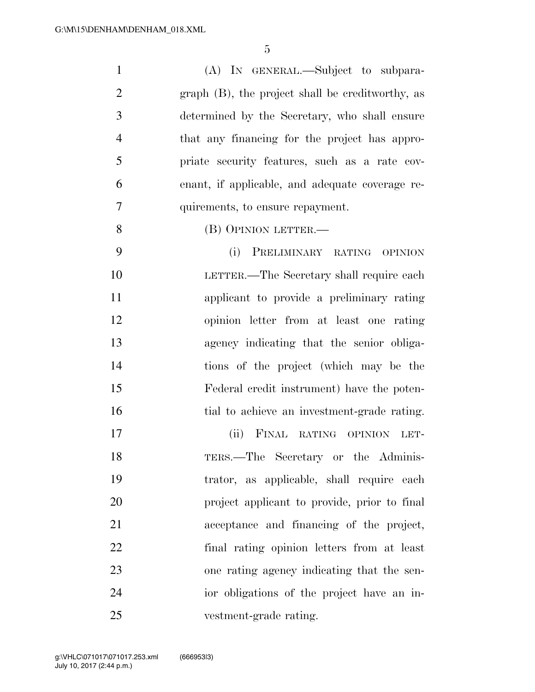| $\mathbf{1}$   | (A) IN GENERAL.—Subject to subpara-              |
|----------------|--------------------------------------------------|
| $\overline{2}$ | graph (B), the project shall be creditworthy, as |
| 3              | determined by the Secretary, who shall ensure    |
| $\overline{4}$ | that any financing for the project has appro-    |
| 5              | priate security features, such as a rate cov-    |
| 6              | enant, if applicable, and adequate coverage re-  |
| $\overline{7}$ | quirements, to ensure repayment.                 |
| 8              | (B) OPINION LETTER.—                             |
| 9              | (i)<br>PRELIMINARY RATING OPINION                |
| 10             | LETTER.—The Secretary shall require each         |
| 11             | applicant to provide a preliminary rating        |
| 12             | opinion letter from at least one rating          |
| 13             | agency indicating that the senior obliga-        |
| 14             | tions of the project (which may be the           |
| 15             | Federal credit instrument) have the poten-       |
| 16             | tial to achieve an investment-grade rating.      |
| 17             | (ii) FINAL RATING OPINION LET-                   |
| 18             | TERS.—The Secretary or the Adminis-              |
| 19             | trator, as applicable, shall require each        |
| 20             | project applicant to provide, prior to final     |
| 21             | acceptance and financing of the project,         |
| 22             | final rating opinion letters from at least       |
| 23             | one rating agency indicating that the sen-       |
| 24             | ior obligations of the project have an in-       |
| 25             | vestment-grade rating.                           |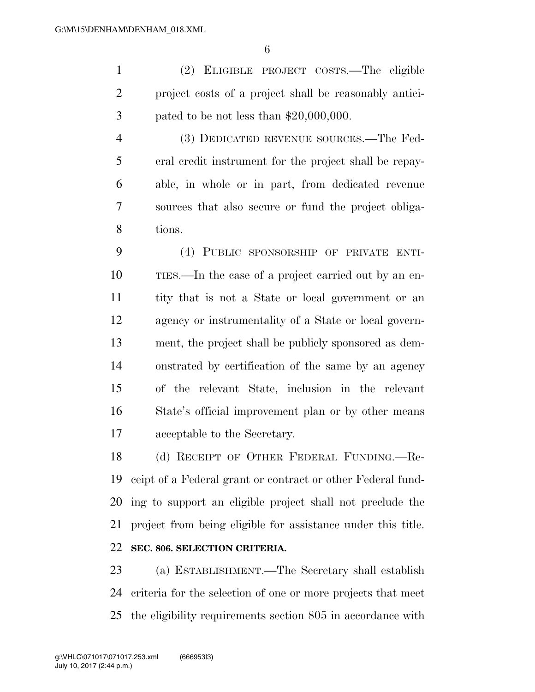(2) ELIGIBLE PROJECT COSTS.—The eligible project costs of a project shall be reasonably antici-pated to be not less than \$20,000,000.

 (3) DEDICATED REVENUE SOURCES.—The Fed- eral credit instrument for the project shall be repay- able, in whole or in part, from dedicated revenue sources that also secure or fund the project obliga-tions.

 (4) PUBLIC SPONSORSHIP OF PRIVATE ENTI- TIES.—In the case of a project carried out by an en- tity that is not a State or local government or an agency or instrumentality of a State or local govern- ment, the project shall be publicly sponsored as dem- onstrated by certification of the same by an agency of the relevant State, inclusion in the relevant State's official improvement plan or by other means acceptable to the Secretary.

 (d) RECEIPT OF OTHER FEDERAL FUNDING.—Re- ceipt of a Federal grant or contract or other Federal fund- ing to support an eligible project shall not preclude the project from being eligible for assistance under this title. **SEC. 806. SELECTION CRITERIA.** 

 (a) ESTABLISHMENT.—The Secretary shall establish criteria for the selection of one or more projects that meet the eligibility requirements section 805 in accordance with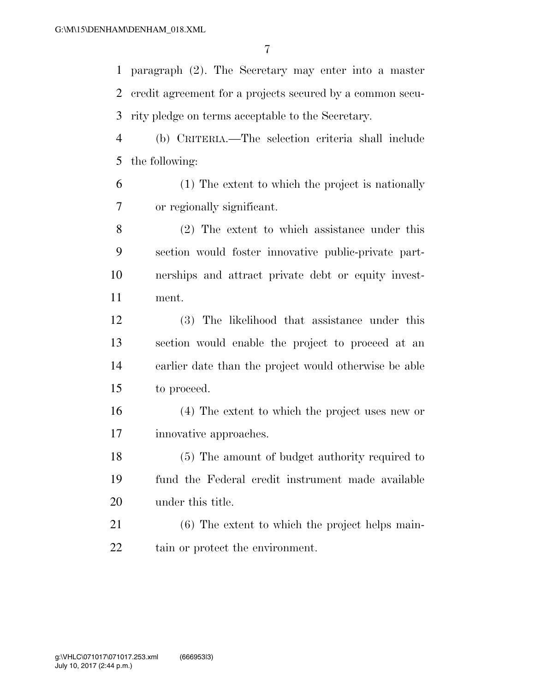paragraph (2). The Secretary may enter into a master credit agreement for a projects secured by a common secu-rity pledge on terms acceptable to the Secretary.

 (b) CRITERIA.—The selection criteria shall include the following:

 (1) The extent to which the project is nationally or regionally significant.

 (2) The extent to which assistance under this section would foster innovative public-private part- nerships and attract private debt or equity invest-ment.

 (3) The likelihood that assistance under this section would enable the project to proceed at an earlier date than the project would otherwise be able to proceed.

 (4) The extent to which the project uses new or innovative approaches.

 (5) The amount of budget authority required to fund the Federal credit instrument made available under this title.

 (6) The extent to which the project helps main-tain or protect the environment.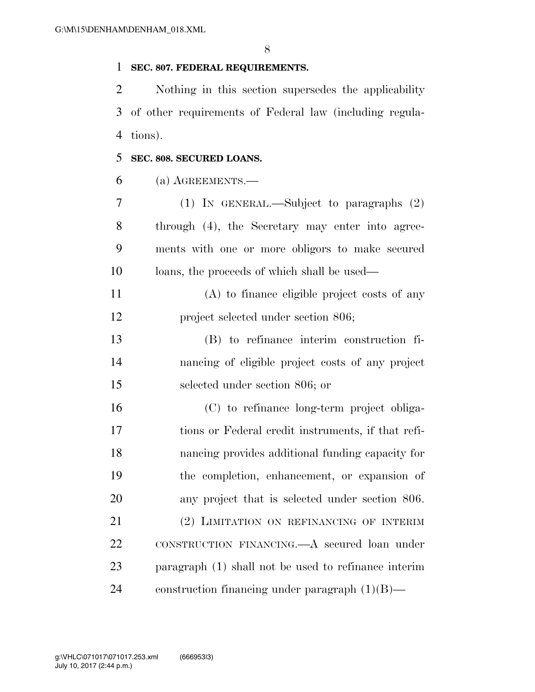#### **SEC. 807. FEDERAL REQUIREMENTS.**

 Nothing in this section supersedes the applicability of other requirements of Federal law (including regula-tions).

#### **SEC. 808. SECURED LOANS.**

(a) AGREEMENTS.—

 (1) IN GENERAL.—Subject to paragraphs (2) through (4), the Secretary may enter into agree- ments with one or more obligors to make secured loans, the proceeds of which shall be used—

 (A) to finance eligible project costs of any project selected under section 806;

 (B) to refinance interim construction fi- nancing of eligible project costs of any project selected under section 806; or

 (C) to refinance long-term project obliga- tions or Federal credit instruments, if that refi- nancing provides additional funding capacity for the completion, enhancement, or expansion of any project that is selected under section 806. (2) LIMITATION ON REFINANCING OF INTERIM CONSTRUCTION FINANCING.—A secured loan under paragraph (1) shall not be used to refinance interim construction financing under paragraph (1)(B)—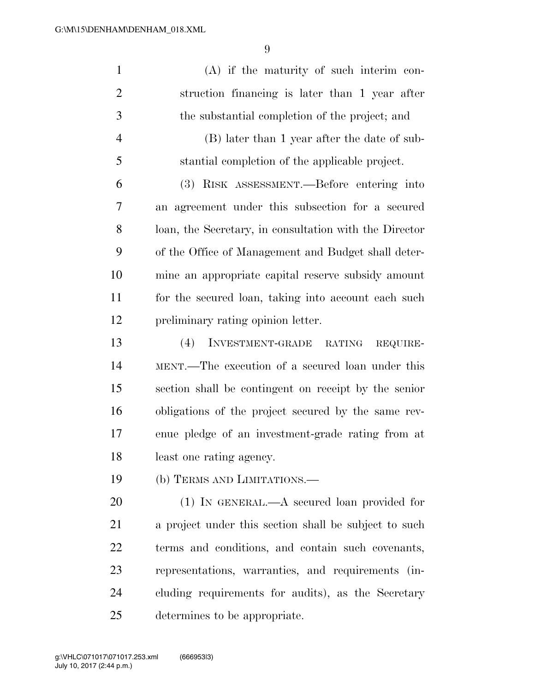| $\mathbf{1}$   | $(A)$ if the maturity of such interim con-             |
|----------------|--------------------------------------------------------|
| $\overline{2}$ | struction financing is later than 1 year after         |
| 3              | the substantial completion of the project; and         |
| $\overline{4}$ | (B) later than 1 year after the date of sub-           |
| 5              | stantial completion of the applicable project.         |
| 6              | (3) RISK ASSESSMENT.—Before entering into              |
| 7              | an agreement under this subsection for a secured       |
| 8              | loan, the Secretary, in consultation with the Director |
| 9              | of the Office of Management and Budget shall deter-    |
| 10             | mine an appropriate capital reserve subsidy amount     |
| 11             | for the secured loan, taking into account each such    |
| 12             | preliminary rating opinion letter.                     |
| 13             | INVESTMENT-GRADE RATING<br>(4)<br>REQUIRE-             |
| 14             | MENT.—The execution of a secured loan under this       |
| 15             | section shall be contingent on receipt by the senior   |
| 16             | obligations of the project secured by the same rev-    |
| 17             | enue pledge of an investment-grade rating from at      |
| 18             | least one rating agency.                               |
| 19             | (b) TERMS AND LIMITATIONS.—                            |
| 20             | $(1)$ IN GENERAL.—A secured loan provided for          |
| 21             | a project under this section shall be subject to such  |
| 22             | terms and conditions, and contain such covenants,      |
| 23             | representations, warranties, and requirements (in-     |
| 24             | cluding requirements for audits), as the Secretary     |
| 25             | determines to be appropriate.                          |

July 10, 2017 (2:44 p.m.) g:\VHLC\071017\071017.253.xml (666953|3)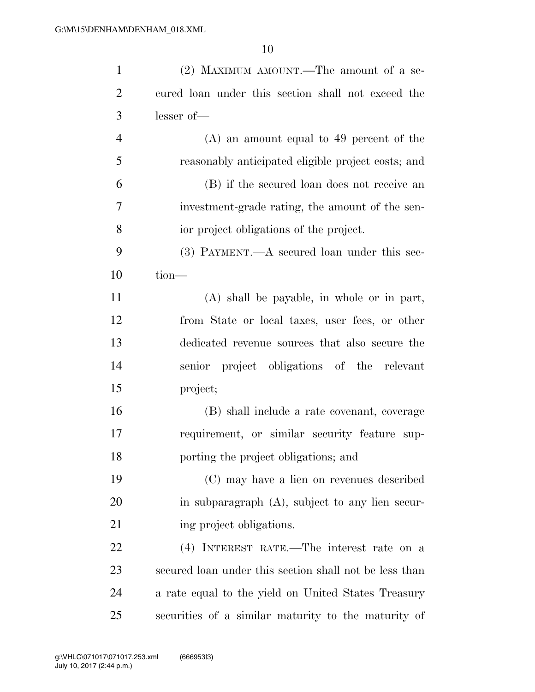| $\mathbf{1}$   | (2) MAXIMUM AMOUNT.—The amount of a se-                |
|----------------|--------------------------------------------------------|
| $\overline{2}$ | cured loan under this section shall not exceed the     |
| 3              | lesser of-                                             |
| $\overline{4}$ | $(A)$ an amount equal to 49 percent of the             |
| 5              | reasonably anticipated eligible project costs; and     |
| 6              | (B) if the secured loan does not receive an            |
| 7              | investment-grade rating, the amount of the sen-        |
| 8              | ior project obligations of the project.                |
| 9              | $(3)$ PAYMENT.—A secured loan under this sec-          |
| 10             | $tion-$                                                |
| 11             | (A) shall be payable, in whole or in part,             |
| 12             | from State or local taxes, user fees, or other         |
| 13             | dedicated revenue sources that also secure the         |
| 14             | senior project obligations of the relevant             |
| 15             | project;                                               |
| 16             | (B) shall include a rate covenant, coverage            |
| 17             | requirement, or similar security feature sup-          |
| 18             | porting the project obligations; and                   |
| 19             | (C) may have a lien on revenues described              |
| 20             | in subparagraph (A), subject to any lien secur-        |
| 21             | ing project obligations.                               |
| 22             | (4) INTEREST RATE.—The interest rate on a              |
| 23             | secured loan under this section shall not be less than |
| 24             | a rate equal to the yield on United States Treasury    |
| 25             | securities of a similar maturity to the maturity of    |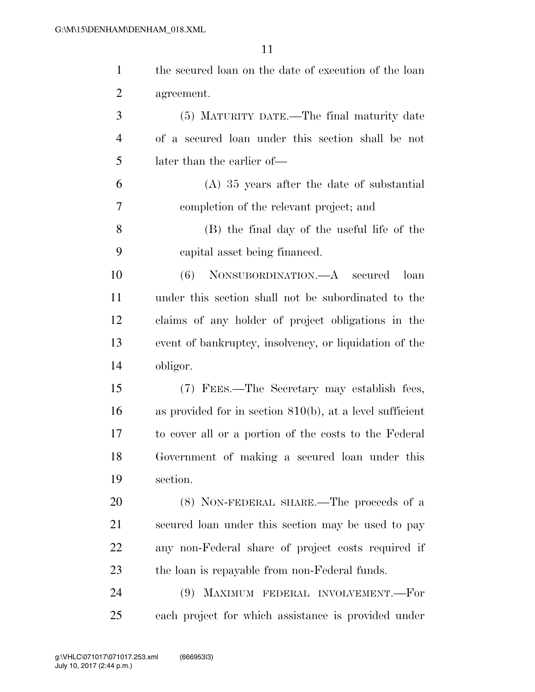| $\mathbf{1}$   | the secured loan on the date of execution of the loan       |
|----------------|-------------------------------------------------------------|
| 2              | agreement.                                                  |
| 3              | (5) MATURITY DATE.—The final maturity date                  |
| $\overline{4}$ | of a secured loan under this section shall be not           |
| 5              | later than the earlier of—                                  |
| 6              | $(A)$ 35 years after the date of substantial                |
| 7              | completion of the relevant project; and                     |
| 8              | (B) the final day of the useful life of the                 |
| 9              | capital asset being financed.                               |
| 10             | NONSUBORDINATION.—A secured<br>(6)<br>loan                  |
| 11             | under this section shall not be subordinated to the         |
| 12             | claims of any holder of project obligations in the          |
| 13             | event of bankruptcy, insolvency, or liquidation of the      |
| 14             | obligor.                                                    |
| 15             | (7) FEES.—The Secretary may establish fees,                 |
| 16             | as provided for in section $810(b)$ , at a level sufficient |
| 17             | to cover all or a portion of the costs to the Federal       |
| 18             | Government of making a secured loan under this              |
| 19             | section.                                                    |
| 20             | (8) NON-FEDERAL SHARE.—The proceeds of a                    |
| 21             | secured loan under this section may be used to pay          |
| 22             | any non-Federal share of project costs required if          |
| 23             | the loan is repayable from non-Federal funds.               |
| 24             | MAXIMUM FEDERAL INVOLVEMENT.-For<br>(9)                     |
| 25             | each project for which assistance is provided under         |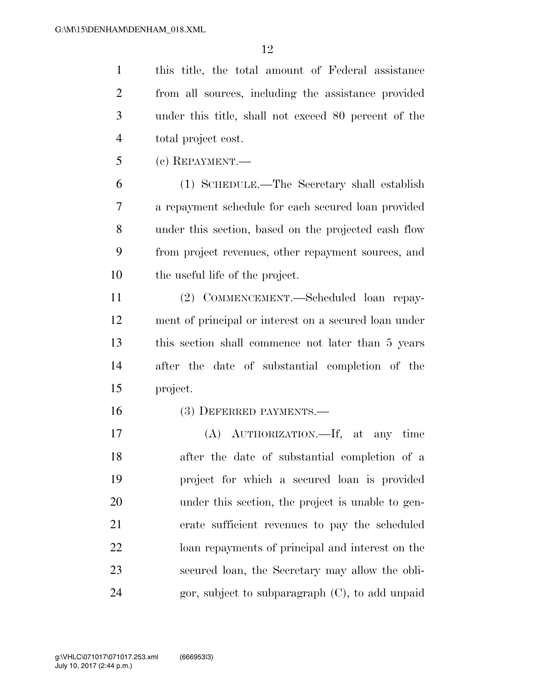this title, the total amount of Federal assistance from all sources, including the assistance provided under this title, shall not exceed 80 percent of the total project cost.

(c) REPAYMENT.—

 (1) SCHEDULE.—The Secretary shall establish a repayment schedule for each secured loan provided under this section, based on the projected cash flow from project revenues, other repayment sources, and the useful life of the project.

 (2) COMMENCEMENT.—Scheduled loan repay- ment of principal or interest on a secured loan under this section shall commence not later than 5 years after the date of substantial completion of the project.

(3) DEFERRED PAYMENTS.—

 (A) AUTHORIZATION.—If, at any time after the date of substantial completion of a project for which a secured loan is provided under this section, the project is unable to gen- erate sufficient revenues to pay the scheduled loan repayments of principal and interest on the secured loan, the Secretary may allow the obli-24 gor, subject to subparagraph  $(C)$ , to add unpaid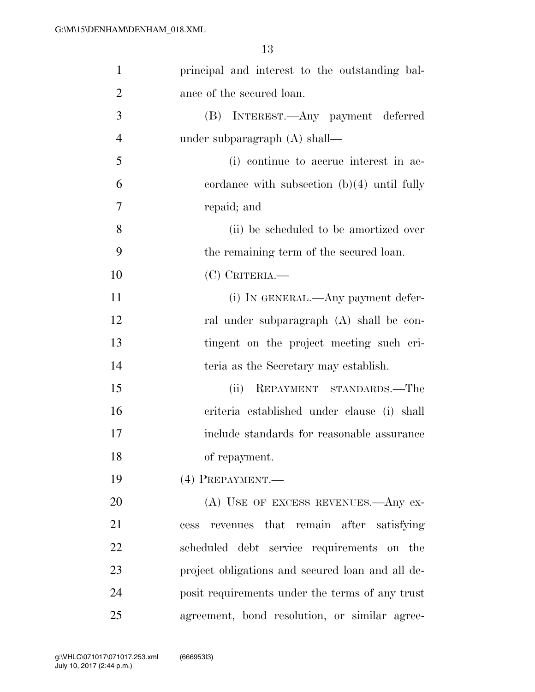| $\mathbf{1}$   | principal and interest to the outstanding bal-   |
|----------------|--------------------------------------------------|
| $\overline{2}$ | ance of the secured loan.                        |
| 3              | (B) INTEREST.—Any payment deferred               |
| $\overline{4}$ | under subparagraph $(A)$ shall—                  |
| 5              | (i) continue to accrue interest in ac-           |
| 6              | cordance with subsection $(b)(4)$ until fully    |
| $\overline{7}$ | repaid; and                                      |
| 8              | (ii) be scheduled to be amortized over           |
| 9              | the remaining term of the secured loan.          |
| 10             | $(C)$ CRITERIA.—                                 |
| 11             | (i) IN GENERAL.—Any payment defer-               |
| 12             | ral under subparagraph (A) shall be con-         |
| 13             | tingent on the project meeting such cri-         |
| 14             | teria as the Secretary may establish.            |
| 15             | REPAYMENT STANDARDS.—The<br>(ii)                 |
| 16             | criteria established under clause (i) shall      |
| 17             | include standards for reasonable assurance       |
| 18             | of repayment.                                    |
| 19             | (4) PREPAYMENT.                                  |
| 20             | (A) USE OF EXCESS REVENUES.—Any ex-              |
| 21             | that remain after satisfying<br>revenues<br>cess |
| 22             | scheduled debt service requirements on the       |
| 23             | project obligations and secured loan and all de- |
| 24             | posit requirements under the terms of any trust  |
| 25             | agreement, bond resolution, or similar agree-    |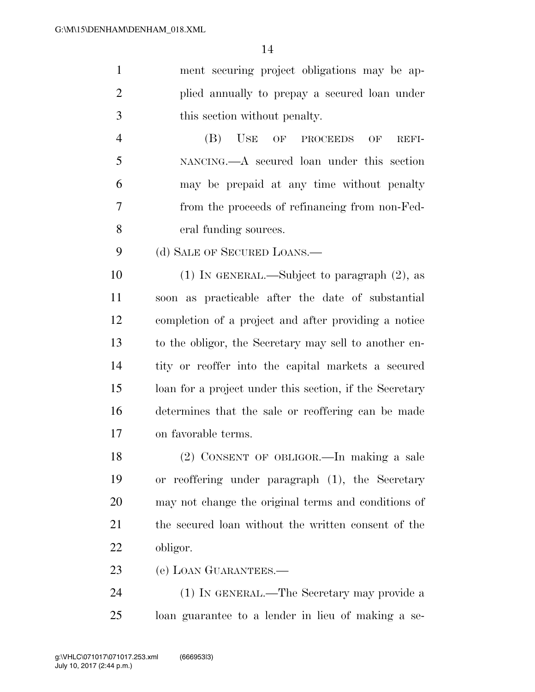ment securing project obligations may be ap- plied annually to prepay a secured loan under this section without penalty.

 (B) USE OF PROCEEDS OF REFI- NANCING.—A secured loan under this section may be prepaid at any time without penalty from the proceeds of refinancing from non-Fed-eral funding sources.

9 (d) SALE OF SECURED LOANS.—

 (1) IN GENERAL.—Subject to paragraph (2), as soon as practicable after the date of substantial completion of a project and after providing a notice to the obligor, the Secretary may sell to another en- tity or reoffer into the capital markets a secured loan for a project under this section, if the Secretary determines that the sale or reoffering can be made on favorable terms.

 (2) CONSENT OF OBLIGOR.—In making a sale or reoffering under paragraph (1), the Secretary may not change the original terms and conditions of the secured loan without the written consent of the obligor.

(e) LOAN GUARANTEES.—

 (1) IN GENERAL.—The Secretary may provide a loan guarantee to a lender in lieu of making a se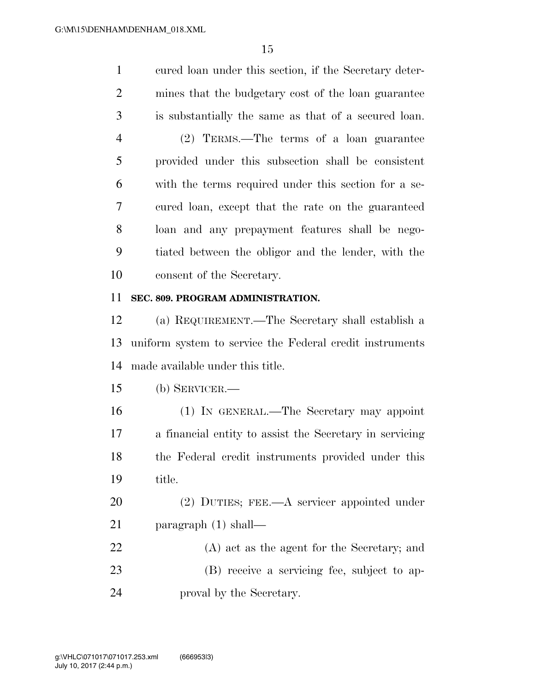cured loan under this section, if the Secretary deter- mines that the budgetary cost of the loan guarantee is substantially the same as that of a secured loan.

 (2) TERMS.—The terms of a loan guarantee provided under this subsection shall be consistent with the terms required under this section for a se- cured loan, except that the rate on the guaranteed loan and any prepayment features shall be nego- tiated between the obligor and the lender, with the consent of the Secretary.

#### **SEC. 809. PROGRAM ADMINISTRATION.**

 (a) REQUIREMENT.—The Secretary shall establish a uniform system to service the Federal credit instruments made available under this title.

(b) SERVICER.—

 (1) IN GENERAL.—The Secretary may appoint a financial entity to assist the Secretary in servicing the Federal credit instruments provided under this title.

 (2) DUTIES; FEE.—A servicer appointed under paragraph (1) shall—

 (A) act as the agent for the Secretary; and (B) receive a servicing fee, subject to ap-proval by the Secretary.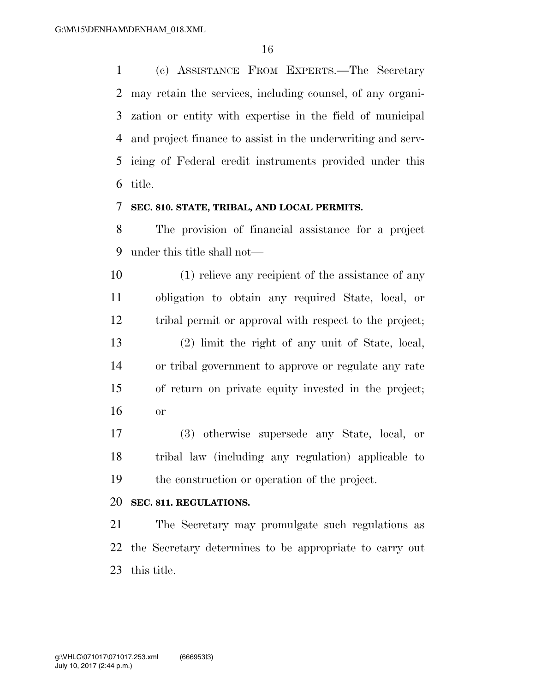(c) ASSISTANCE FROM EXPERTS.—The Secretary may retain the services, including counsel, of any organi- zation or entity with expertise in the field of municipal and project finance to assist in the underwriting and serv- icing of Federal credit instruments provided under this title.

#### **SEC. 810. STATE, TRIBAL, AND LOCAL PERMITS.**

 The provision of financial assistance for a project under this title shall not—

 (1) relieve any recipient of the assistance of any obligation to obtain any required State, local, or tribal permit or approval with respect to the project; (2) limit the right of any unit of State, local, or tribal government to approve or regulate any rate of return on private equity invested in the project; or

 (3) otherwise supersede any State, local, or tribal law (including any regulation) applicable to the construction or operation of the project.

#### **SEC. 811. REGULATIONS.**

 The Secretary may promulgate such regulations as the Secretary determines to be appropriate to carry out this title.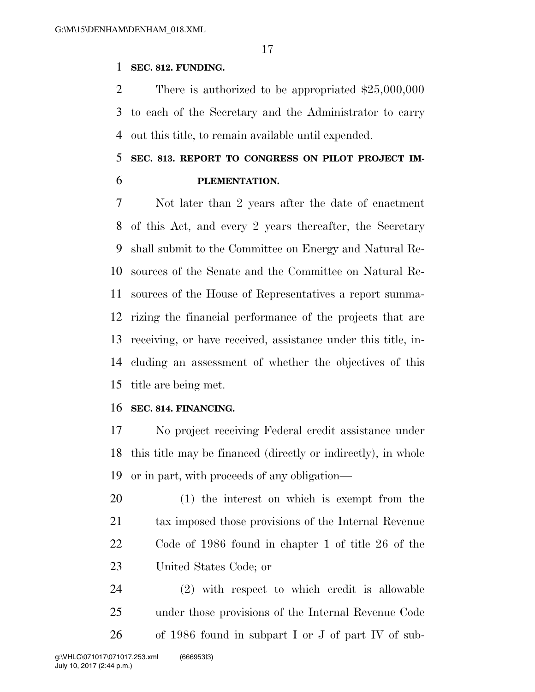#### **SEC. 812. FUNDING.**

 There is authorized to be appropriated \$25,000,000 to each of the Secretary and the Administrator to carry out this title, to remain available until expended.

## **SEC. 813. REPORT TO CONGRESS ON PILOT PROJECT IM-PLEMENTATION.**

 Not later than 2 years after the date of enactment of this Act, and every 2 years thereafter, the Secretary shall submit to the Committee on Energy and Natural Re- sources of the Senate and the Committee on Natural Re- sources of the House of Representatives a report summa- rizing the financial performance of the projects that are receiving, or have received, assistance under this title, in- cluding an assessment of whether the objectives of this title are being met.

#### **SEC. 814. FINANCING.**

 No project receiving Federal credit assistance under this title may be financed (directly or indirectly), in whole or in part, with proceeds of any obligation—

 (1) the interest on which is exempt from the tax imposed those provisions of the Internal Revenue Code of 1986 found in chapter 1 of title 26 of the United States Code; or

 (2) with respect to which credit is allowable under those provisions of the Internal Revenue Code of 1986 found in subpart I or J of part IV of sub-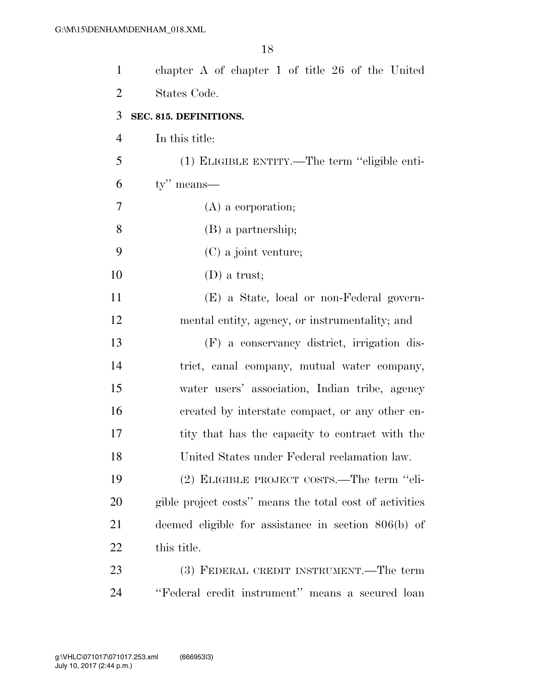| $\mathbf{1}$   | chapter A of chapter 1 of title $26$ of the United      |
|----------------|---------------------------------------------------------|
| $\overline{2}$ | States Code.                                            |
| 3              | SEC. 815. DEFINITIONS.                                  |
| 4              | In this title:                                          |
| 5              | (1) ELIGIBLE ENTITY.—The term "eligible enti-           |
| 6              | $ty''$ means—                                           |
| 7              | $(A)$ a corporation;                                    |
| 8              | (B) a partnership;                                      |
| 9              | (C) a joint venture;                                    |
| 10             | $(D)$ a trust;                                          |
| 11             | (E) a State, local or non-Federal govern-               |
| 12             | mental entity, agency, or instrumentality; and          |
| 13             | (F) a conservancy district, irrigation dis-             |
| 14             | trict, canal company, mutual water company,             |
| 15             | water users' association, Indian tribe, agency          |
| 16             | created by interstate compact, or any other en-         |
| 17             | tity that has the capacity to contract with the         |
| 18             | United States under Federal reclamation law.            |
| 19             | (2) ELIGIBLE PROJECT COSTS.—The term "eli-              |
| 20             | gible project costs" means the total cost of activities |
| 21             | deemed eligible for assistance in section $806(b)$ of   |
| 22             | this title.                                             |
| 23             | (3) FEDERAL CREDIT INSTRUMENT.—The term                 |
| 24             | "Federal credit instrument" means a secured loan        |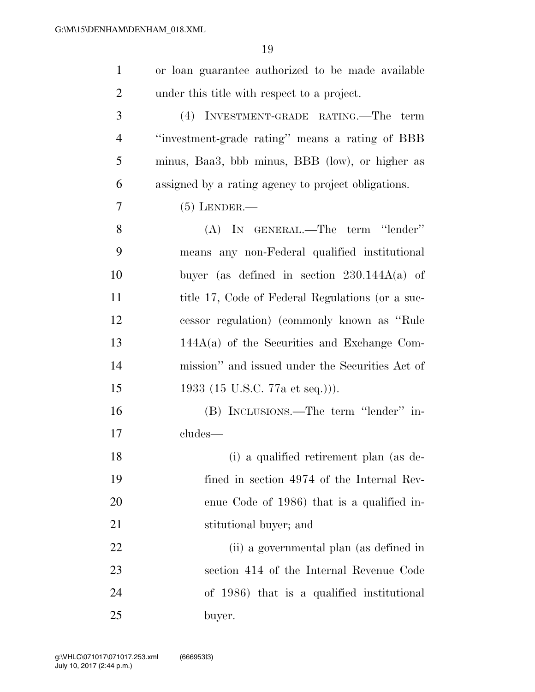| $\mathbf{1}$   | or loan guarantee authorized to be made available   |
|----------------|-----------------------------------------------------|
| $\overline{2}$ | under this title with respect to a project.         |
| 3              | (4) INVESTMENT-GRADE RATING.—The<br>term            |
| 4              | "investment-grade rating" means a rating of BBB     |
| 5              | minus, Baa3, bbb minus, BBB (low), or higher as     |
| 6              | assigned by a rating agency to project obligations. |
| 7              | $(5)$ LENDER.—                                      |
| 8              | (A) IN GENERAL.—The term "lender"                   |
| 9              | means any non-Federal qualified institutional       |
| 10             | buyer (as defined in section $230.144A(a)$ of       |
| 11             | title 17, Code of Federal Regulations (or a suc-    |
| 12             | cessor regulation) (commonly known as "Rule"        |
| 13             | $144A(a)$ of the Securities and Exchange Com-       |
| 14             | mission" and issued under the Securities Act of     |
| 15             | 1933 (15 U.S.C. 77a et seq.))).                     |
| 16             | (B) INCLUSIONS.—The term "lender" in-               |
| 17             | cludes-                                             |
| 18             | (i) a qualified retirement plan (as de-             |
| 19             | fined in section 4974 of the Internal Rev-          |
| 20             | enue Code of 1986) that is a qualified in-          |
| 21             | stitutional buyer; and                              |
| 22             | (ii) a governmental plan (as defined in             |
| 23             | section 414 of the Internal Revenue Code            |
| 24             | of 1986) that is a qualified institutional          |
| 25             | buyer.                                              |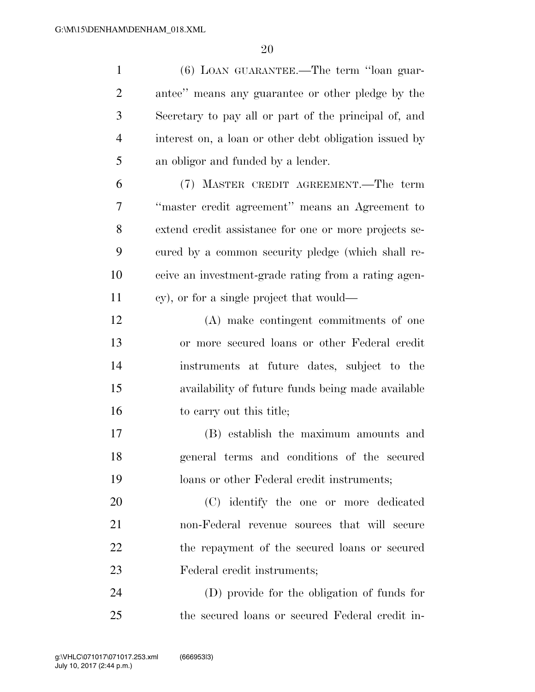(6) LOAN GUARANTEE.—The term ''loan guar- antee'' means any guarantee or other pledge by the Secretary to pay all or part of the principal of, and interest on, a loan or other debt obligation issued by an obligor and funded by a lender. (7) MASTER CREDIT AGREEMENT.—The term ''master credit agreement'' means an Agreement to extend credit assistance for one or more projects se- cured by a common security pledge (which shall re- ceive an investment-grade rating from a rating agen- cy), or for a single project that would— (A) make contingent commitments of one or more secured loans or other Federal credit instruments at future dates, subject to the availability of future funds being made available 16 to carry out this title; (B) establish the maximum amounts and general terms and conditions of the secured loans or other Federal credit instruments; (C) identify the one or more dedicated non-Federal revenue sources that will secure 22 the repayment of the secured loans or secured Federal credit instruments; (D) provide for the obligation of funds for

the secured loans or secured Federal credit in-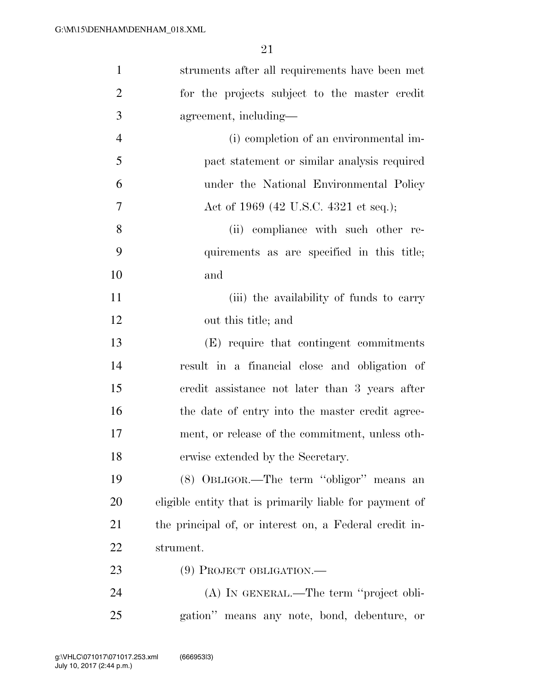| $\mathbf{1}$   | struments after all requirements have been met          |
|----------------|---------------------------------------------------------|
| $\overline{2}$ | for the projects subject to the master credit           |
| 3              | agreement, including—                                   |
| $\overline{4}$ | (i) completion of an environmental im-                  |
| 5              | pact statement or similar analysis required             |
| 6              | under the National Environmental Policy                 |
| $\overline{7}$ | Act of 1969 (42 U.S.C. 4321 et seq.);                   |
| 8              | (ii) compliance with such other re-                     |
| 9              | quirements as are specified in this title;              |
| 10             | and                                                     |
| 11             | (iii) the availability of funds to carry                |
| 12             | out this title; and                                     |
| 13             | (E) require that contingent commitments                 |
| 14             | result in a financial close and obligation of           |
| 15             | eredit assistance not later than 3 years after          |
| 16             | the date of entry into the master credit agree-         |
| 17             | ment, or release of the commitment, unless oth-         |
| 18             | erwise extended by the Secretary.                       |
| 19             | (8) OBLIGOR.—The term "obligor" means an                |
| 20             | eligible entity that is primarily liable for payment of |
| 21             | the principal of, or interest on, a Federal credit in-  |
| 22             | strument.                                               |
| 23             | $(9)$ PROJECT OBLIGATION.—                              |
| 24             | (A) IN GENERAL.—The term "project obli-                 |
| 25             | gation" means any note, bond, debenture, or             |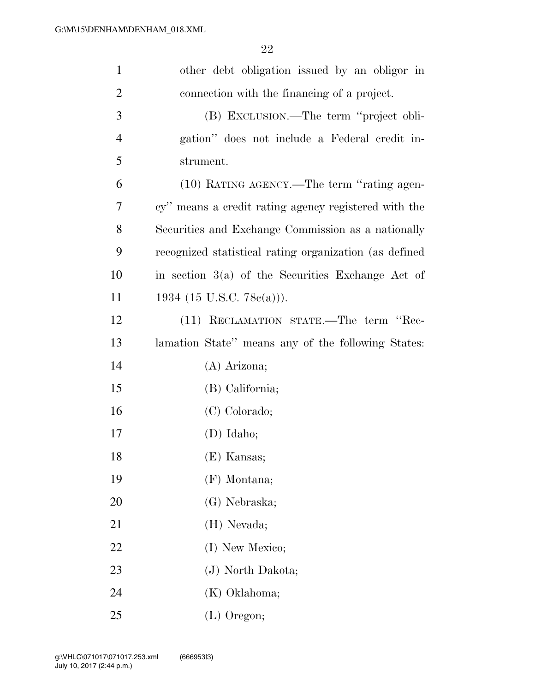| $\mathbf{1}$   | other debt obligation issued by an obligor in          |
|----------------|--------------------------------------------------------|
| $\overline{2}$ | connection with the financing of a project.            |
| 3              | (B) EXCLUSION.—The term "project obli-                 |
| $\overline{4}$ | gation" does not include a Federal credit in-          |
| 5              | strument.                                              |
| 6              | (10) RATING AGENCY.—The term "rating agen-             |
| 7              | cy" means a credit rating agency registered with the   |
| 8              | Securities and Exchange Commission as a nationally     |
| 9              | recognized statistical rating organization (as defined |
| 10             | in section $3(a)$ of the Securities Exchange Act of    |
| 11             | 1934 (15 U.S.C. 78 $e(a)$ )).                          |
| 12             | (11) RECLAMATION STATE.—The term "Rec-                 |
| 13             | lamation State" means any of the following States:     |
| 14             | $(A)$ Arizona;                                         |
| 15             | (B) California;                                        |
| 16             | (C) Colorado;                                          |
| 17             | $(D)$ Idaho;                                           |
| 18             | (E) Kansas;                                            |
| 19             | $(F)$ Montana;                                         |
| 20             | (G) Nebraska;                                          |
| 21             | (H) Nevada;                                            |
| 22             | (I) New Mexico;                                        |
| 23             | (J) North Dakota;                                      |
| 24             | (K) Oklahoma;                                          |
| 25             | $(L)$ Oregon;                                          |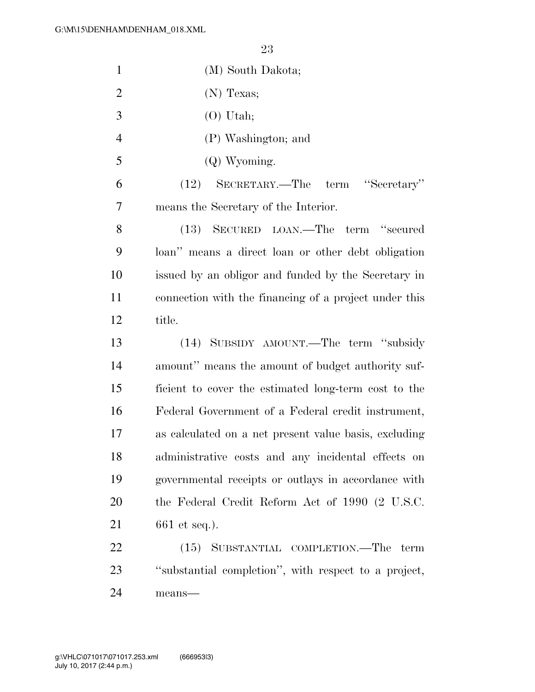| $\mathbf{1}$   | (M) South Dakota;                                     |
|----------------|-------------------------------------------------------|
| $\overline{2}$ | $(N)$ Texas;                                          |
| 3              | $(O)$ Utah;                                           |
| $\overline{4}$ | (P) Washington; and                                   |
| 5              | (Q) Wyoming.                                          |
| 6              | (12) SECRETARY.—The term "Secretary"                  |
| 7              | means the Secretary of the Interior.                  |
| 8              | (13) SECURED LOAN.—The term "secured                  |
| 9              | loan" means a direct loan or other debt obligation    |
| 10             | issued by an obligor and funded by the Secretary in   |
| 11             | connection with the financing of a project under this |
| 12             | title.                                                |
| 13             | (14) SUBSIDY AMOUNT.—The term "subsidy                |
| 14             | amount" means the amount of budget authority suf-     |
| 15             | ficient to cover the estimated long-term cost to the  |
| 16             | Federal Government of a Federal credit instrument,    |
| 17             | as calculated on a net present value basis, excluding |
| 18             | administrative costs and any incidental effects on    |
| 19             | governmental receipts or outlays in accordance with   |
| 20             | the Federal Credit Reform Act of 1990 (2 U.S.C.       |
| 21             | $661$ et seq.).                                       |
| 22             | (15) SUBSTANTIAL COMPLETION.—The term                 |
| 23             | "substantial completion", with respect to a project,  |
| 24             | means-                                                |